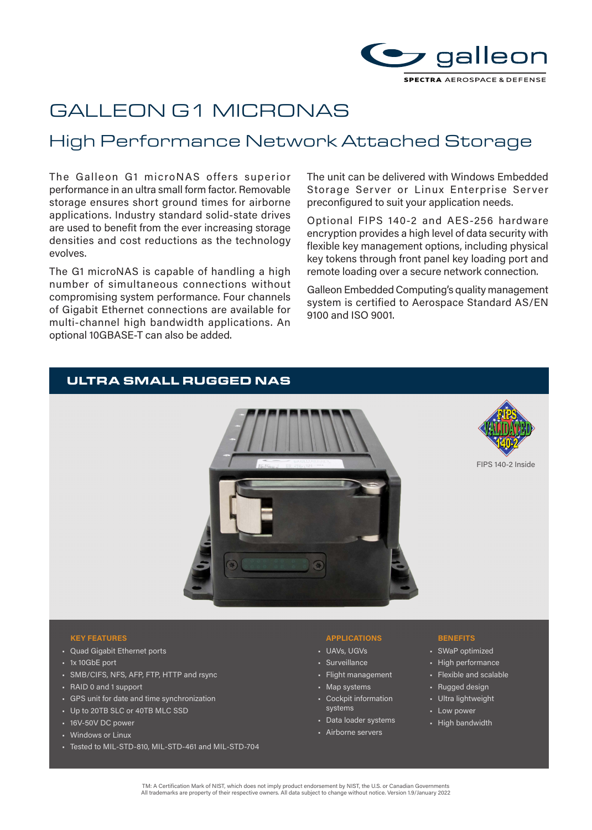

# GALLEON G1 MICRONAS

# High Performance Network Attached Storage

The Galleon G1 microNAS offers superior performance in an ultra small form factor. Removable storage ensures short ground times for airborne applications. Industry standard solid-state drives are used to benefit from the ever increasing storage densities and cost reductions as the technology evolves.

The G1 microNAS is capable of handling a high number of simultaneous connections without compromising system performance. Four channels of Gigabit Ethernet connections are available for multi-channel high bandwidth applications. An optional 10GBASE-T can also be added.

The unit can be delivered with Windows Embedded Storage Server or Linux Enterprise Server preconfigured to suit your application needs.

Optional FIPS 140-2 and AES-256 hardware encryption provides a high level of data security with flexible key management options, including physical key tokens through front panel key loading port and remote loading over a secure network connection.

Galleon Embedded Computing's quality management system is certified to Aerospace Standard AS/EN 9100 and ISO 9001.

# ULTRA SMALL RUGGED NAS





FIPS 140-2 Inside

## **KEY FEATURES BENEFITS**

- Quad Gigabit Ethernet ports
- 1x 10GbE port
- SMB/CIFS, NFS, AFP, FTP, HTTP and rsync
- RAID 0 and 1 support
- GPS unit for date and time synchronization
- Up to 20TB SLC or 40TB MLC SSD
- 16V-50V DC power
- Windows or Linux
- Tested to MIL-STD-810, MIL-STD-461 and MIL-STD-704

- UAVs, UGVs
- Surveillance
- Flight management
- Map systems • Cockpit information systems
- Data loader systems
- Airborne servers

- SWaP optimized
- High performance
- Flexible and scalable
- Rugged design
- Ultra lightweight
- Low power
- High bandwidth

TM: A Certification Mark of NIST, which does not imply product endorsement by NIST, the U.S. or Canadian Governments All trademarks are property of their respective owners. All data subject to change without notice. Version 1.9/January 2022